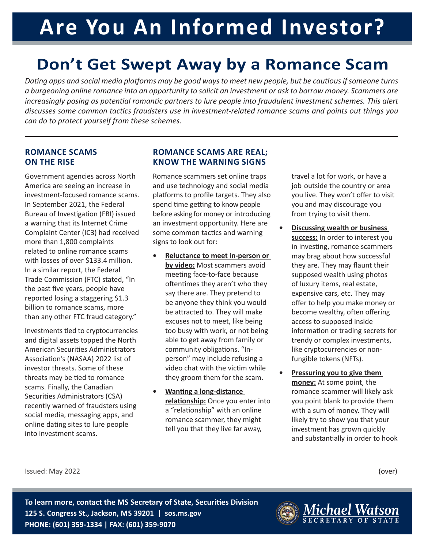# **Are You An Informed Investor?**

# **Don't Get Swept Away by a Romance Scam**

*Dating apps and social media platforms may be good ways to meet new people, but be cautious if someone turns a burgeoning online romance into an opportunity to solicit an investment or ask to borrow money. Scammers are increasingly posing as potential romantic partners to lure people into fraudulent investment schemes. This alert discusses some common tactics fraudsters use in investment-related romance scams and points out things you can do to protect yourself from these schemes.* 

#### **ROMANCE SCAMS ON THE RISE**

Government agencies across North America are seeing an increase in investment-focused romance scams. In September 2021, the Federal Bureau of Investigation (FBI) issued a warning that its Internet Crime Complaint Center (IC3) had received more than 1,800 complaints related to online romance scams with losses of over \$133.4 million. In a similar report, the Federal Trade Commission (FTC) stated, "In the past five years, people have reported losing a staggering \$1.3 billion to romance scams, more than any other FTC fraud category."

Investments tied to cryptocurrencies and digital assets topped the North American Securities Administrators Association's (NASAA) 2022 list of investor threats. Some of these threats may be tied to romance scams. Finally, the Canadian Securities Administrators (CSA) recently warned of fraudsters using social media, messaging apps, and online dating sites to lure people into investment scams.

## **ROMANCE SCAMS ARE REAL; KNOW THE WARNING SIGNS**

Romance scammers set online traps and use technology and social media platforms to profile targets. They also spend time getting to know people before asking for money or introducing an investment opportunity. Here are some common tactics and warning signs to look out for:

- **• Reluctance to meet in-person or by video:** Most scammers avoid meeting face-to-face because oftentimes they aren't who they say there are. They pretend to be anyone they think you would be attracted to. They will make excuses not to meet, like being too busy with work, or not being able to get away from family or community obligations. "Inperson" may include refusing a video chat with the victim while they groom them for the scam.
- **• Wanting a long-distance relationship:** Once you enter into a "relationship" with an online romance scammer, they might tell you that they live far away,

travel a lot for work, or have a job outside the country or area you live. They won't offer to visit you and may discourage you from trying to visit them.

- **• Discussing wealth or business success:** In order to interest you in investing, romance scammers may brag about how successful they are. They may flaunt their supposed wealth using photos of luxury items, real estate, expensive cars, etc. They may offer to help you make money or become wealthy, often offering access to supposed inside information or trading secrets for trendy or complex investments, like cryptocurrencies or nonfungible tokens (NFTs).
- **• Pressuring you to give them money:** At some point, the romance scammer will likely ask you point blank to provide them with a sum of money. They will likely try to show you that your investment has grown quickly and substantially in order to hook

Issued: May 2022

(over)

**To learn more, contact the MS Secretary of State, Securities Division 125 S. Congress St., Jackson, MS 39201 | sos.ms.gov PHONE: (601) 359-1334 | FAX: (601) 359-9070**